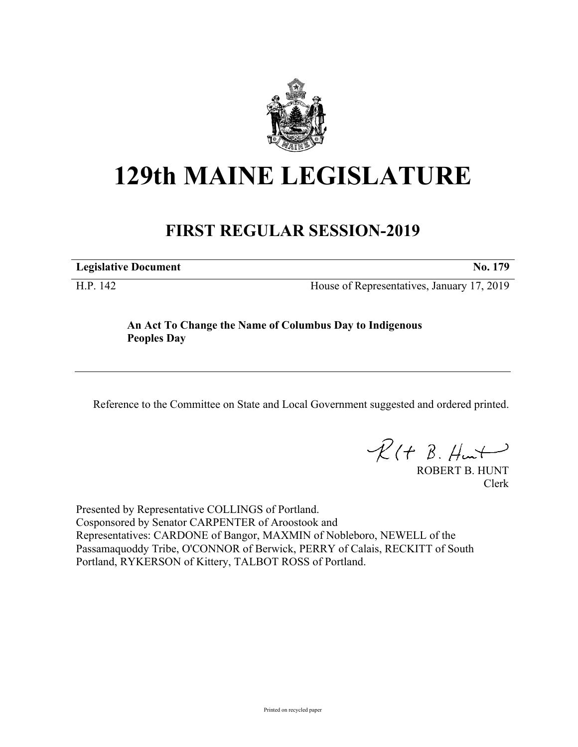

## **129th MAINE LEGISLATURE**

## **FIRST REGULAR SESSION-2019**

**Legislative Document No. 179**

H.P. 142 House of Representatives, January 17, 2019

**An Act To Change the Name of Columbus Day to Indigenous Peoples Day**

Reference to the Committee on State and Local Government suggested and ordered printed.

 $R(t B. Hmt)$ 

ROBERT B. HUNT Clerk

Presented by Representative COLLINGS of Portland. Cosponsored by Senator CARPENTER of Aroostook and Representatives: CARDONE of Bangor, MAXMIN of Nobleboro, NEWELL of the Passamaquoddy Tribe, O'CONNOR of Berwick, PERRY of Calais, RECKITT of South Portland, RYKERSON of Kittery, TALBOT ROSS of Portland.